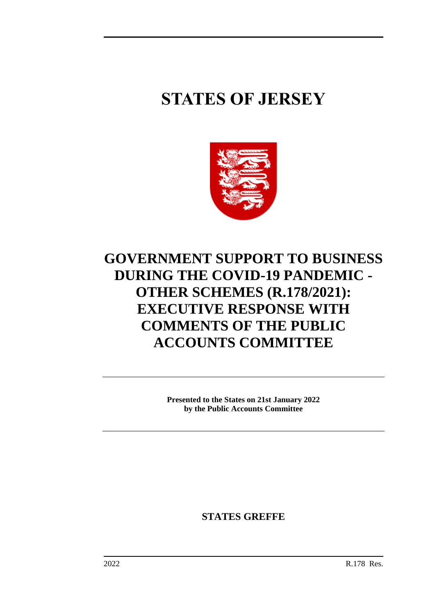# **STATES OF JERSEY**



## **GOVERNMENT SUPPORT TO BUSINESS DURING THE COVID-19 PANDEMIC - OTHER SCHEMES (R.178/2021): EXECUTIVE RESPONSE WITH COMMENTS OF THE PUBLIC ACCOUNTS COMMITTEE**

**Presented to the States on 21st January 2022 by the Public Accounts Committee**

**STATES GREFFE**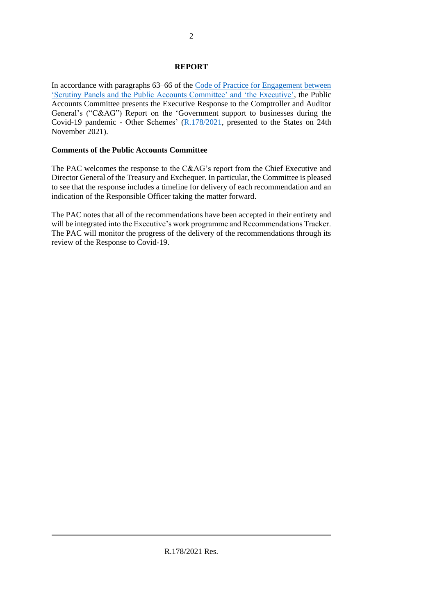### **REPORT**

In accordance with paragraphs 63–66 of the [Code of Practice for Engagement between](https://statesassembly.gov.je/sitecollectiondocuments/pacengagementcode.pdf)  ['Scrutiny Panels and the Public Accounts Committee' and 'the Executive',](https://statesassembly.gov.je/sitecollectiondocuments/pacengagementcode.pdf) the Public Accounts Committee presents the Executive Response to the Comptroller and Auditor General's ("C&AG") Report on the 'Government support to businesses during the Covid-19 pandemic - Other Schemes' [\(R.178/2021,](https://statesassembly.gov.je/assemblyreports/2021/r.178-2021.pdf) presented to the States on 24th November 2021).

### **Comments of the Public Accounts Committee**

The PAC welcomes the response to the C&AG's report from the Chief Executive and Director General of the Treasury and Exchequer. In particular, the Committee is pleased to see that the response includes a timeline for delivery of each recommendation and an indication of the Responsible Officer taking the matter forward.

The PAC notes that all of the recommendations have been accepted in their entirety and will be integrated into the Executive's work programme and Recommendations Tracker. The PAC will monitor the progress of the delivery of the recommendations through its review of the Response to Covid-19.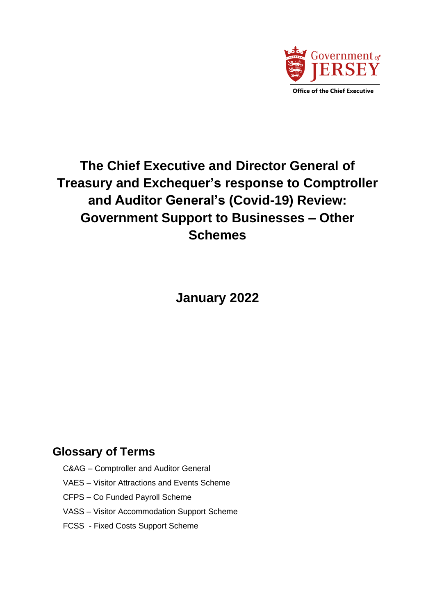

## **The Chief Executive and Director General of Treasury and Exchequer's response to Comptroller and Auditor General's (Covid-19) Review: Government Support to Businesses – Other Schemes**

**January 2022**

### **Glossary of Terms**

- C&AG Comptroller and Auditor General
- VAES Visitor Attractions and Events Scheme
- CFPS Co Funded Payroll Scheme
- VASS Visitor Accommodation Support Scheme
- FCSS Fixed Costs Support Scheme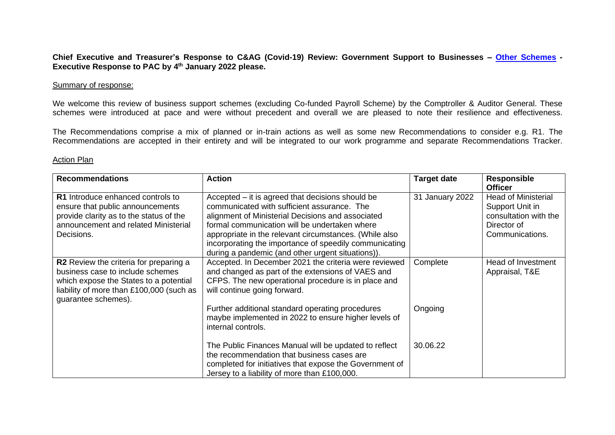**Chief Executive and Treasurer's Response to C&AG (Covid-19) Review: Government Support to Businesses – [Other Schemes](https://www.jerseyauditoffice.je/wp-content/uploads/2021/11/Government-support-to-businesses-during-the-COVID-19-pandemic-%E2%80%93-Other-Schemes-report-.pdf) - Executive Response to PAC by 4 th January 2022 please.**

#### Summary of response:

We welcome this review of business support schemes (excluding Co-funded Payroll Scheme) by the Comptroller & Auditor General. These schemes were introduced at pace and were without precedent and overall we are pleased to note their resilience and effectiveness.

The Recommendations comprise a mix of planned or in-train actions as well as some new Recommendations to consider e.g. R1. The Recommendations are accepted in their entirety and will be integrated to our work programme and separate Recommendations Tracker.

#### Action Plan

| <b>Recommendations</b>                                                                                                                                                                         | <b>Action</b>                                                                                                                                                                                                                                                                                                                                                                  | <b>Target date</b> | <b>Responsible</b><br><b>Officer</b>                                                                     |
|------------------------------------------------------------------------------------------------------------------------------------------------------------------------------------------------|--------------------------------------------------------------------------------------------------------------------------------------------------------------------------------------------------------------------------------------------------------------------------------------------------------------------------------------------------------------------------------|--------------------|----------------------------------------------------------------------------------------------------------|
| R1 Introduce enhanced controls to<br>ensure that public announcements<br>provide clarity as to the status of the<br>announcement and related Ministerial<br>Decisions.                         | Accepted – it is agreed that decisions should be<br>communicated with sufficient assurance. The<br>alignment of Ministerial Decisions and associated<br>formal communication will be undertaken where<br>appropriate in the relevant circumstances. (While also<br>incorporating the importance of speedily communicating<br>during a pandemic (and other urgent situations)). | 31 January 2022    | <b>Head of Ministerial</b><br>Support Unit in<br>consultation with the<br>Director of<br>Communications. |
| <b>R2</b> Review the criteria for preparing a<br>business case to include schemes<br>which expose the States to a potential<br>liability of more than £100,000 (such as<br>guarantee schemes). | Accepted. In December 2021 the criteria were reviewed<br>and changed as part of the extensions of VAES and<br>CFPS. The new operational procedure is in place and<br>will continue going forward.                                                                                                                                                                              | Complete           | Head of Investment<br>Appraisal, T&E                                                                     |
|                                                                                                                                                                                                | Further additional standard operating procedures<br>maybe implemented in 2022 to ensure higher levels of<br>internal controls.                                                                                                                                                                                                                                                 | Ongoing            |                                                                                                          |
|                                                                                                                                                                                                | The Public Finances Manual will be updated to reflect<br>the recommendation that business cases are<br>completed for initiatives that expose the Government of<br>Jersey to a liability of more than £100,000.                                                                                                                                                                 | 30.06.22           |                                                                                                          |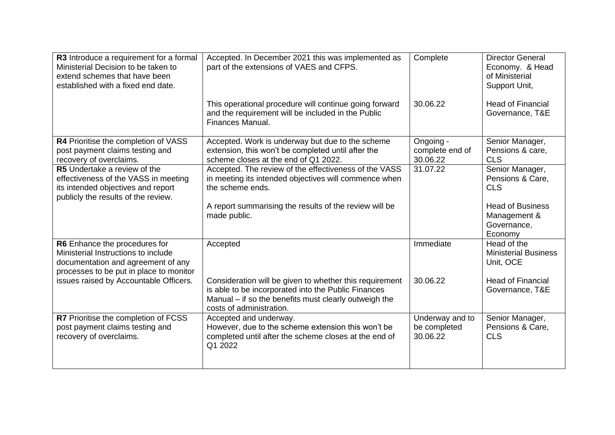| R3 Introduce a requirement for a formal<br>Ministerial Decision to be taken to<br>extend schemes that have been<br>established with a fixed end date.    | Accepted. In December 2021 this was implemented as<br>part of the extensions of VAES and CFPS.                                                                                                               | Complete                                    | <b>Director General</b><br>Economy. & Head<br>of Ministerial<br>Support Unit,                                          |
|----------------------------------------------------------------------------------------------------------------------------------------------------------|--------------------------------------------------------------------------------------------------------------------------------------------------------------------------------------------------------------|---------------------------------------------|------------------------------------------------------------------------------------------------------------------------|
|                                                                                                                                                          | This operational procedure will continue going forward<br>and the requirement will be included in the Public<br>Finances Manual.                                                                             | 30.06.22                                    | <b>Head of Financial</b><br>Governance, T&E                                                                            |
| R4 Prioritise the completion of VASS<br>post payment claims testing and<br>recovery of overclaims.                                                       | Accepted. Work is underway but due to the scheme<br>extension, this won't be completed until after the<br>scheme closes at the end of Q1 2022.                                                               | Ongoing -<br>complete end of<br>30.06.22    | Senior Manager,<br>Pensions & care,<br><b>CLS</b>                                                                      |
| <b>R5</b> Undertake a review of the<br>effectiveness of the VASS in meeting<br>its intended objectives and report<br>publicly the results of the review. | Accepted. The review of the effectiveness of the VASS<br>in meeting its intended objectives will commence when<br>the scheme ends.<br>A report summarising the results of the review will be<br>made public. | 31.07.22                                    | Senior Manager,<br>Pensions & Care,<br><b>CLS</b><br><b>Head of Business</b><br>Management &<br>Governance,<br>Economy |
| R6 Enhance the procedures for<br>Ministerial Instructions to include<br>documentation and agreement of any<br>processes to be put in place to monitor    | Accepted                                                                                                                                                                                                     | Immediate                                   | Head of the<br><b>Ministerial Business</b><br>Unit, OCE                                                                |
| issues raised by Accountable Officers.                                                                                                                   | Consideration will be given to whether this requirement<br>is able to be incorporated into the Public Finances<br>Manual – if so the benefits must clearly outweigh the<br>costs of administration.          | 30.06.22                                    | <b>Head of Financial</b><br>Governance, T&E                                                                            |
| R7 Prioritise the completion of FCSS<br>post payment claims testing and<br>recovery of overclaims.                                                       | Accepted and underway.<br>However, due to the scheme extension this won't be<br>completed until after the scheme closes at the end of<br>Q1 2022                                                             | Underway and to<br>be completed<br>30.06.22 | Senior Manager,<br>Pensions & Care,<br><b>CLS</b>                                                                      |